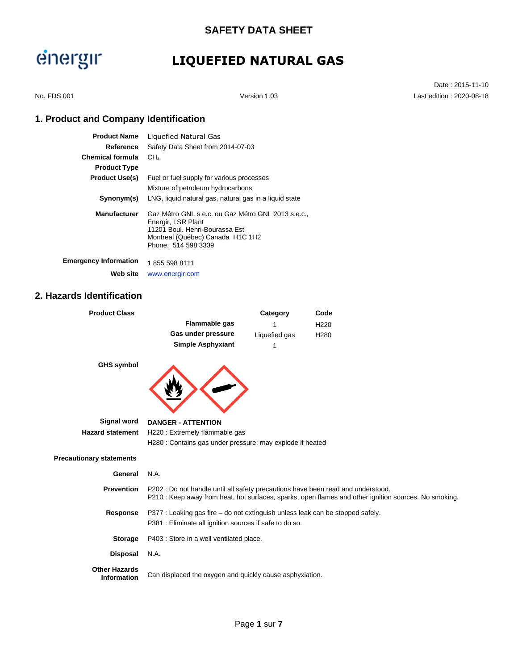## **LIQUEFIED NATURAL GAS**

Date : 2015-11-10 No. FDS 001 Version 1.03 Last edition : 2020-08-18

### **1. Product and Company Identification**

| <b>Product Name</b>          | Liquefied Natural Gas                                                                                                                                               |
|------------------------------|---------------------------------------------------------------------------------------------------------------------------------------------------------------------|
| Reference                    | Safety Data Sheet from 2014-07-03                                                                                                                                   |
| <b>Chemical formula</b>      | CH <sub>A</sub>                                                                                                                                                     |
| <b>Product Type</b>          |                                                                                                                                                                     |
| <b>Product Use(s)</b>        | Fuel or fuel supply for various processes                                                                                                                           |
|                              | Mixture of petroleum hydrocarbons                                                                                                                                   |
| Synonym(s)                   | LNG, liquid natural gas, natural gas in a liquid state                                                                                                              |
| <b>Manufacturer</b>          | Gaz Métro GNL s.e.c. ou Gaz Métro GNL 2013 s.e.c<br>Energir, LSR Plant<br>11201 Boul, Henri-Bourassa Est<br>Montreal (Québec) Canada H1C 1H2<br>Phone: 514 598 3339 |
| <b>Emergency Information</b> | 1855 598 8111                                                                                                                                                       |
| Web site                     | www.energir.com                                                                                                                                                     |

### **2. Hazards Identification**

| <b>Product Class</b>                       |                                                                                  | Category      | Code                                                                                                  |
|--------------------------------------------|----------------------------------------------------------------------------------|---------------|-------------------------------------------------------------------------------------------------------|
|                                            | Flammable gas                                                                    |               | H <sub>220</sub>                                                                                      |
|                                            | Gas under pressure                                                               | Liquefied gas | H <sub>280</sub>                                                                                      |
|                                            | <b>Simple Asphyxiant</b>                                                         | 1             |                                                                                                       |
| <b>GHS symbol</b>                          |                                                                                  |               |                                                                                                       |
| Signal word                                | <b>DANGER - ATTENTION</b>                                                        |               |                                                                                                       |
| <b>Hazard statement</b>                    | H220 : Extremely flammable gas                                                   |               |                                                                                                       |
|                                            | H280 : Contains gas under pressure; may explode if heated                        |               |                                                                                                       |
| <b>Precautionary statements</b>            |                                                                                  |               |                                                                                                       |
| General                                    | N.A.                                                                             |               |                                                                                                       |
| <b>Prevention</b>                          | P202 : Do not handle until all safety precautions have been read and understood. |               | P210 : Keep away from heat, hot surfaces, sparks, open flames and other ignition sources. No smoking. |
| Response                                   | P377 : Leaking gas fire – do not extinguish unless leak can be stopped safely.   |               |                                                                                                       |
|                                            | P381 : Eliminate all ignition sources if safe to do so.                          |               |                                                                                                       |
| <b>Storage</b>                             | P403 : Store in a well ventilated place.                                         |               |                                                                                                       |
| <b>Disposal</b>                            | N.A.                                                                             |               |                                                                                                       |
| <b>Other Hazards</b><br><b>Information</b> | Can displaced the oxygen and quickly cause asphyxiation.                         |               |                                                                                                       |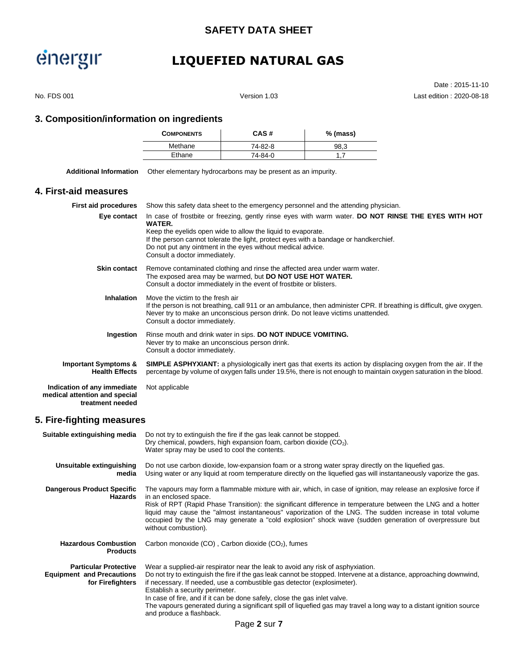### **SAFETY DATA SHEET**

# energir

## **LIQUEFIED NATURAL GAS**

Date : 2015-11-10 No. FDS 001 Version 1.03 Last edition : 2020-08-18

### **3. Composition/information on ingredients**

| <b>COMPONENTS</b> | CAS#    | $%$ (mass) |
|-------------------|---------|------------|
| Methane           | 74-82-8 | 98.3       |
| Ethane            | 74-84-0 |            |

| Additional Information | Other elementary hydrocarbons may be present as an impurity. |
|------------------------|--------------------------------------------------------------|
|------------------------|--------------------------------------------------------------|

### **4. First-aid measures**

| <b>First aid procedures</b>                                                      | Show this safety data sheet to the emergency personnel and the attending physician.                                                                                                                                                                                                                                                                                    |
|----------------------------------------------------------------------------------|------------------------------------------------------------------------------------------------------------------------------------------------------------------------------------------------------------------------------------------------------------------------------------------------------------------------------------------------------------------------|
| Eye contact                                                                      | In case of frostbite or freezing, gently rinse eyes with warm water. DO NOT RINSE THE EYES WITH HOT<br>WATER.<br>Keep the eyelids open wide to allow the liquid to evaporate.<br>If the person cannot tolerate the light, protect eyes with a bandage or handkerchief.<br>Do not put any ointment in the eyes without medical advice.<br>Consult a doctor immediately. |
| <b>Skin contact</b>                                                              | Remove contaminated clothing and rinse the affected area under warm water.<br>The exposed area may be warmed, but DO NOT USE HOT WATER.<br>Consult a doctor immediately in the event of frostbite or blisters.                                                                                                                                                         |
| <b>Inhalation</b>                                                                | Move the victim to the fresh air<br>If the person is not breathing, call 911 or an ambulance, then administer CPR. If breathing is difficult, give oxygen.<br>Never try to make an unconscious person drink. Do not leave victims unattended.<br>Consult a doctor immediately.                                                                                         |
| Ingestion                                                                        | Rinse mouth and drink water in sips. DO NOT INDUCE VOMITING.<br>Never try to make an unconscious person drink.<br>Consult a doctor immediately.                                                                                                                                                                                                                        |
| <b>Important Symptoms &amp;</b><br><b>Health Effects</b>                         | <b>SIMPLE ASPHYXIANT:</b> a physiologically inert gas that exerts its action by displacing oxygen from the air. If the<br>percentage by volume of oxygen falls under 19.5%, there is not enough to maintain oxygen saturation in the blood.                                                                                                                            |
| Indication of any immediate<br>medical attention and special<br>treatment needed | Not applicable                                                                                                                                                                                                                                                                                                                                                         |

### **5. Fire-fighting measures**

| Suitable extinguishing media                                                         | Do not try to extinguish the fire if the gas leak cannot be stopped.<br>Dry chemical, powders, high expansion foam, carbon dioxide $(CO2)$ .<br>Water spray may be used to cool the contents.                                                                                                                                                                                                                                                                                                                                                         |
|--------------------------------------------------------------------------------------|-------------------------------------------------------------------------------------------------------------------------------------------------------------------------------------------------------------------------------------------------------------------------------------------------------------------------------------------------------------------------------------------------------------------------------------------------------------------------------------------------------------------------------------------------------|
| Unsuitable extinguishing<br>media                                                    | Do not use carbon dioxide, low-expansion foam or a strong water spray directly on the liquefied gas.<br>Using water or any liquid at room temperature directly on the liquefied gas will instantaneously vaporize the gas.                                                                                                                                                                                                                                                                                                                            |
| <b>Dangerous Product Specific</b><br>Hazards                                         | The vapours may form a flammable mixture with air, which, in case of ignition, may release an explosive force if<br>in an enclosed space.<br>Risk of RPT (Rapid Phase Transition): the significant difference in temperature between the LNG and a hotter<br>liquid may cause the "almost instantaneous" vaporization of the LNG. The sudden increase in total volume<br>occupied by the LNG may generate a "cold explosion" shock wave (sudden generation of overpressure but<br>without combustion).                                                |
| <b>Hazardous Combustion</b><br><b>Products</b>                                       | Carbon monoxide $(CO)$ , Carbon dioxide $(CO2)$ , fumes                                                                                                                                                                                                                                                                                                                                                                                                                                                                                               |
| <b>Particular Protective</b><br><b>Equipment and Precautions</b><br>for Firefighters | Wear a supplied-air respirator near the leak to avoid any risk of asphyxiation.<br>Do not try to extinguish the fire if the gas leak cannot be stopped. Intervene at a distance, approaching downwind,<br>if necessary. If needed, use a combustible gas detector (explosimeter).<br>Establish a security perimeter.<br>In case of fire, and if it can be done safely, close the gas inlet valve.<br>The vapours generated during a significant spill of liquefied gas may travel a long way to a distant ignition source<br>and produce a flashback. |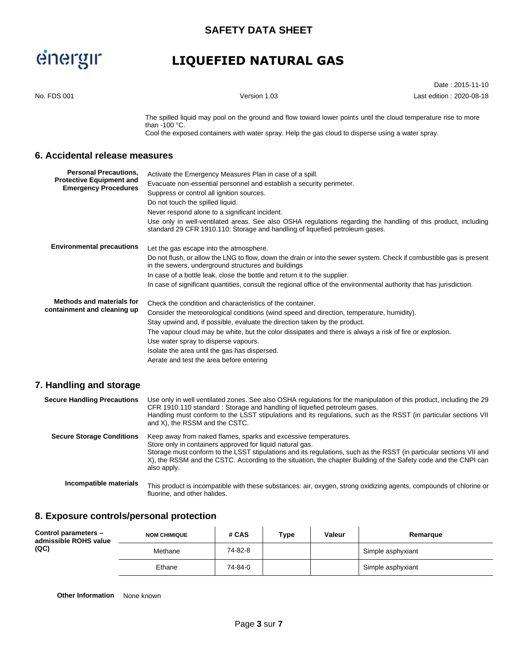## **LIQUEFIED NATURAL GAS**

|                                                                                                |                                                                                                                                                                                                                                                                                                                                                                                                                                                                                       | Date: 2015-11-10         |
|------------------------------------------------------------------------------------------------|---------------------------------------------------------------------------------------------------------------------------------------------------------------------------------------------------------------------------------------------------------------------------------------------------------------------------------------------------------------------------------------------------------------------------------------------------------------------------------------|--------------------------|
| No. FDS 001                                                                                    | Version 1.03                                                                                                                                                                                                                                                                                                                                                                                                                                                                          | Last edition: 2020-08-18 |
|                                                                                                | The spilled liquid may pool on the ground and flow toward lower points until the cloud temperature rise to more<br>than -100 $°C$ .<br>Cool the exposed containers with water spray. Help the gas cloud to disperse using a water spray.                                                                                                                                                                                                                                              |                          |
| 6. Accidental release measures                                                                 |                                                                                                                                                                                                                                                                                                                                                                                                                                                                                       |                          |
| <b>Personal Precautions,</b><br><b>Protective Equipment and</b><br><b>Emergency Procedures</b> | Activate the Emergency Measures Plan in case of a spill.<br>Evacuate non-essential personnel and establish a security perimeter.<br>Suppress or control all ignition sources.<br>Do not touch the spilled liquid.<br>Never respond alone to a significant incident.<br>Use only in well-ventilated areas. See also OSHA regulations regarding the handling of this product, including<br>standard 29 CFR 1910.110: Storage and handling of liquefied petroleum gases.                 |                          |
| <b>Environmental precautions</b>                                                               | Let the gas escape into the atmosphere.<br>Do not flush, or allow the LNG to flow, down the drain or into the sewer system. Check if combustible gas is present<br>in the sewers, underground structures and buildings<br>In case of a bottle leak, close the bottle and return it to the supplier.<br>In case of significant quantities, consult the regional office of the environmental authority that has jurisdiction.                                                           |                          |
| <b>Methods and materials for</b><br>containment and cleaning up                                | Check the condition and characteristics of the container.<br>Consider the meteorological conditions (wind speed and direction, temperature, humidity).<br>Stay upwind and, if possible, evaluate the direction taken by the product.<br>The vapour cloud may be white, but the color dissipates and there is always a risk of fire or explosion.<br>Use water spray to disperse vapours.<br>Isolate the area until the gas has dispersed.<br>Aerate and test the area before entering |                          |
| 7. Handling and storage                                                                        |                                                                                                                                                                                                                                                                                                                                                                                                                                                                                       |                          |
| <b>Secure Handling Precautions</b>                                                             | Use only in well ventilated zones. See also OSHA regulations for the manipulation of this product, including the 29<br>CFR 1910.110 standard: Storage and handling of liquefied petroleum gases.<br>Handling must conform to the LSST stipulations and its regulations, such as the RSST (in particular sections VII<br>and X), the RSSM and the CSTC.                                                                                                                                |                          |
| <b>Secure Storage Conditions</b>                                                               | Keep away from naked flames, sparks and excessive temperatures.<br>Store only in containers approved for liquid natural gas.<br>Storage must conform to the LSST stipulations and its regulations, such as the RSST (in particular sections VII and<br>X), the RSSM and the CSTC. According to the situation, the chapter Building of the Safety code and the CNPI can<br>also apply.                                                                                                 |                          |
| Incompatible materials                                                                         | This product is incompatible with these substances: air, oxygen, strong oxidizing agents, compounds of chlorine or<br>fluorine, and other halides.                                                                                                                                                                                                                                                                                                                                    |                          |
|                                                                                                |                                                                                                                                                                                                                                                                                                                                                                                                                                                                                       |                          |

#### **8. Exposure controls/personal protection**  $\mathbf{r}$

| Control parameters -<br>admissible ROHS value<br>(QC) | <b>NOM CHIMIQUE</b> | # CAS   | Type | Valeur | Remarque          |
|-------------------------------------------------------|---------------------|---------|------|--------|-------------------|
|                                                       | Methane             | 74-82-8 |      |        | Simple asphyxiant |
|                                                       | Ethane              | 74-84-0 |      |        | Simple asphyxiant |

**Other Information** None known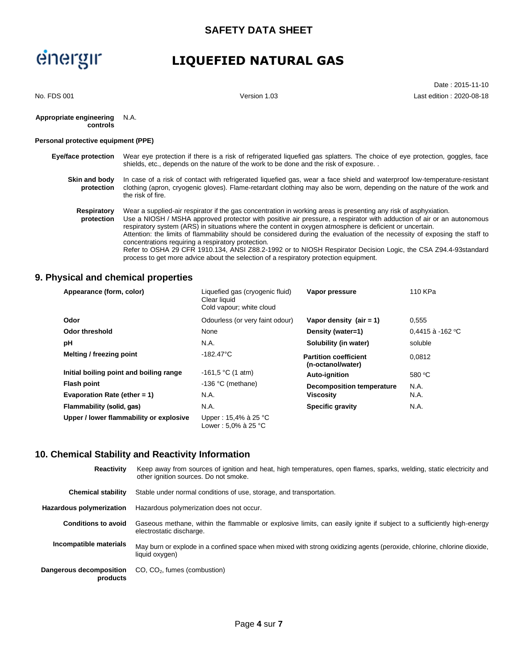## **LIQUEFIED NATURAL GAS**

Date : 2015-11-10 No. FDS 001 Version 1.03 Last edition : 2020-08-18

#### **Appropriate engineering controls** N.A.

#### **Personal protective equipment (PPE)**

| <b>Eye/face protection</b>  | Wear eve protection if there is a risk of refrigerated liquefied gas splatters. The choice of eve protection, goggles, face<br>shields, etc., depends on the nature of the work to be done and the risk of exposure                                                                                                                                                                                                                                                                                                                       |
|-----------------------------|-------------------------------------------------------------------------------------------------------------------------------------------------------------------------------------------------------------------------------------------------------------------------------------------------------------------------------------------------------------------------------------------------------------------------------------------------------------------------------------------------------------------------------------------|
| Skin and body<br>protection | In case of a risk of contact with refrigerated liquefied gas, wear a face shield and waterproof low-temperature-resistant<br>clothing (apron, cryogenic gloves). Flame-retardant clothing may also be worn, depending on the nature of the work and<br>the risk of fire.                                                                                                                                                                                                                                                                  |
| Respiratory<br>protection   | Wear a supplied-air respirator if the gas concentration in working areas is presenting any risk of asphyxiation.<br>Use a NIOSH / MSHA approved protector with positive air pressure, a respirator with adduction of air or an autonomous<br>respiratory system (ARS) in situations where the content in oxygen atmosphere is deficient or uncertain.<br>Attention: the limits of flammability should be considered during the evaluation of the necessity of exposing the staff to<br>concentrations requiring a respiratory protection. |

Refer to OSHA 29 CFR 1910.134, ANSI Z88.2-1992 or to NIOSH Respirator Decision Logic, the CSA Z94.4-93standard process to get more advice about the selection of a respiratory protection equipment.

### **9. Physical and chemical properties**

| Appearance (form, color)                | Liquefied gas (cryogenic fluid)<br>Clear liquid<br>Cold vapour; white cloud | Vapor pressure                                    | 110 KPa          |
|-----------------------------------------|-----------------------------------------------------------------------------|---------------------------------------------------|------------------|
| Odor                                    | Odourless (or very faint odour)                                             | Vapor density $(air = 1)$                         | 0,555            |
| Odor threshold                          | None                                                                        | Density (water=1)                                 | 0.4415 à -162 °C |
| рH                                      | N.A.                                                                        | Solubility (in water)                             | soluble          |
| Melting / freezing point                | $-182.47^{\circ}$ C                                                         | <b>Partition coefficient</b><br>(n-octanol/water) | 0.0812           |
| Initial boiling point and boiling range | $-161.5$ °C (1 atm)                                                         | Auto-ignition                                     | 580 $°C$         |
| <b>Flash point</b>                      | $-136$ °C (methane)                                                         | <b>Decomposition temperature</b>                  | N.A.             |
| Evaporation Rate (ether $= 1$ )         | N.A.                                                                        | <b>Viscosity</b>                                  | N.A.             |
| Flammability (solid, gas)               | N.A.                                                                        | <b>Specific gravity</b>                           | N.A.             |
| Upper / lower flammability or explosive | Upper: 15,4% à 25 °C<br>Lower: 5,0% à 25 °C                                 |                                                   |                  |

### **10. Chemical Stability and Reactivity Information**

| <b>Reactivity</b>                   | Keep away from sources of ignition and heat, high temperatures, open flames, sparks, welding, static electricity and<br>other ignition sources. Do not smoke. |
|-------------------------------------|---------------------------------------------------------------------------------------------------------------------------------------------------------------|
| <b>Chemical stability</b>           | Stable under normal conditions of use, storage, and transportation.                                                                                           |
| Hazardous polymerization            | Hazardous polymerization does not occur.                                                                                                                      |
| <b>Conditions to avoid</b>          | Gaseous methane, within the flammable or explosive limits, can easily ignite if subject to a sufficiently high-energy<br>electrostatic discharge.             |
| Incompatible materials              | May burn or explode in a confined space when mixed with strong oxidizing agents (peroxide, chlorine, chlorine dioxide,<br>liquid oxygen)                      |
| Dangerous decomposition<br>products | $CO$ , $CO2$ , fumes (combustion)                                                                                                                             |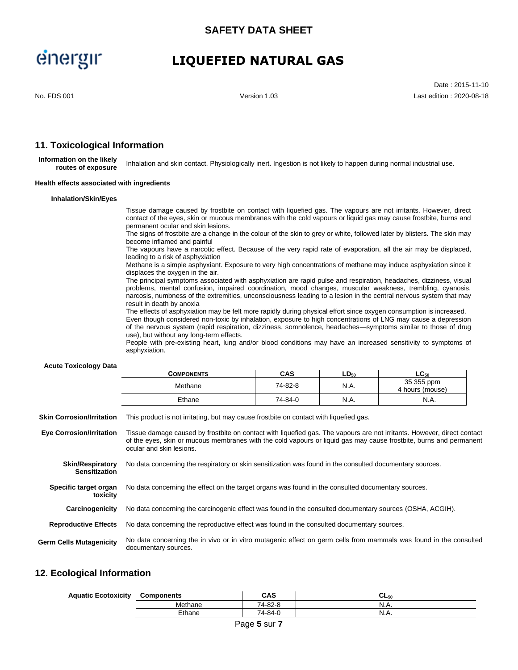### **LIQUEFIED NATURAL GAS**

Date : 2015-11-10 No. FDS 001 Version 1.03 Last edition : 2020-08-18

### **11. Toxicological Information**

**Information on the likely routes of exposure** Inhalation and skin contact. Physiologically inert. Ingestion is not likely to happen during normal industrial use.

#### **Health effects associated with ingredients**

#### **Inhalation/Skin/Eyes**

Tissue damage caused by frostbite on contact with liquefied gas. The vapours are not irritants. However, direct contact of the eyes, skin or mucous membranes with the cold vapours or liquid gas may cause frostbite, burns and permanent ocular and skin lesions.

The signs of frostbite are a change in the colour of the skin to grey or white, followed later by blisters. The skin may become inflamed and painful

The vapours have a narcotic effect. Because of the very rapid rate of evaporation, all the air may be displaced, leading to a risk of asphyxiation

Methane is a simple asphyxiant. Exposure to very high concentrations of methane may induce asphyxiation since it displaces the oxygen in the air.

The principal symptoms associated with asphyxiation are rapid pulse and respiration, headaches, dizziness, visual problems, mental confusion, impaired coordination, mood changes, muscular weakness, trembling, cyanosis, narcosis, numbness of the extremities, unconsciousness leading to a lesion in the central nervous system that may result in death by anoxia

The effects of asphyxiation may be felt more rapidly during physical effort since oxygen consumption is increased.

Even though considered non-toxic by inhalation, exposure to high concentrations of LNG may cause a depression of the nervous system (rapid respiration, dizziness, somnolence, headaches—symptoms similar to those of drug use), but without any long-term effects.

People with pre-existing heart, lung and/or blood conditions may have an increased sensitivity to symptoms of asphyxiation.

#### **Acute Toxicology Data**

| 35 355 ppm<br>74-82-8<br>N.A.<br>Methane<br>4 hours (mouse)<br>N.A.<br>Ethane<br>74-84-0 | -- | <b>COMPONENTS</b> | CAS | $LD_{50}$ | $LC_{50}$ |
|------------------------------------------------------------------------------------------|----|-------------------|-----|-----------|-----------|
|                                                                                          |    |                   |     |           |           |
|                                                                                          |    |                   |     |           | N.A.      |

**Skin Corrosion/Irritation** This product is not irritating, but may cause frostbite on contact with liquefied gas.

**Eye Corrosion/Irritation** Tissue damage caused by frostbite on contact with liquefied gas. The vapours are not irritants. However, direct contact of the eyes, skin or mucous membranes with the cold vapours or liquid gas may cause frostbite, burns and permanent ocular and skin lesions.

**Skin/Respiratory Sensitization** No data concerning the respiratory or skin sensitization was found in the consulted documentary sources.

**Specific target organ** No data concerning the effect on the target organs was found in the consulted documentary sources.

**Carcinogenicity** No data concerning the carcinogenic effect was found in the consulted documentary sources (OSHA, ACGIH).

**Reproductive Effects** No data concerning the reproductive effect was found in the consulted documentary sources.

**Germ Cells Mutagenicity** No data concerning the in vivo or in vitro mutagenic effect on germ cells from mammals was found in the consulted documentary sources.

#### **12. Ecological Information**

**toxicity**

| <b>Aquatic Ecotoxicity</b> | Components | CAS     | ∪∟50 |
|----------------------------|------------|---------|------|
|                            | Methane    | 74-82-8 | N.A. |
|                            | Ethane     | 74-84-0 | N.A. |
|                            |            |         |      |

Page **5** sur **7**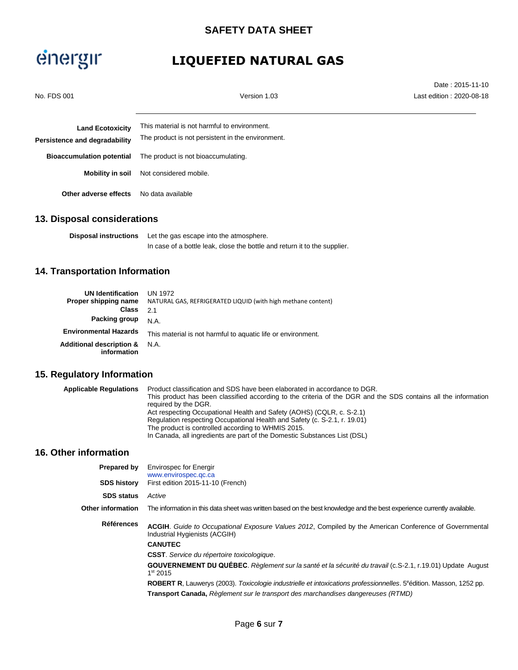## **LIQUEFIED NATURAL GAS**

| No. FDS 001                                              | Version 1.03                                                                                      | Date: 2015-11-10<br>Last edition: 2020-08-18 |
|----------------------------------------------------------|---------------------------------------------------------------------------------------------------|----------------------------------------------|
| <b>Land Ecotoxicity</b><br>Persistence and degradability | This material is not harmful to environment.<br>The product is not persistent in the environment. |                                              |
| <b>Bioaccumulation potential</b>                         | The product is not bioaccumulating.                                                               |                                              |
| Mobility in soil                                         | Not considered mobile.                                                                            |                                              |
| Other adverse effects                                    | No data available                                                                                 |                                              |

### **13. Disposal considerations**

**Disposal instructions** Let the gas escape into the atmosphere. In case of a bottle leak, close the bottle and return it to the supplier.

### **14. Transportation Information**

| <b>UN Identification</b><br>Proper shipping name<br><b>Class</b> | UN 1972<br>NATURAL GAS, REFRIGERATED LIQUID (with high methane content)<br>21 |
|------------------------------------------------------------------|-------------------------------------------------------------------------------|
| Packing group                                                    | N.A.                                                                          |
| <b>Environmental Hazards</b>                                     | This material is not harmful to aquatic life or environment.                  |
| <b>Additional description &amp;</b><br>information               | N.A.                                                                          |

### **15. Regulatory Information**

| <b>Applicable Regulations</b> | Product classification and SDS have been elaborated in accordance to DGR.<br>This product has been classified according to the criteria of the DGR and the SDS contains all the information |  |
|-------------------------------|---------------------------------------------------------------------------------------------------------------------------------------------------------------------------------------------|--|
|                               |                                                                                                                                                                                             |  |
|                               | required by the DGR.                                                                                                                                                                        |  |
|                               | Act respecting Occupational Health and Safety (AOHS) (CQLR, c. S-2.1)                                                                                                                       |  |
|                               | Regulation respecting Occupational Health and Safety (c. S-2.1, r. 19.01)                                                                                                                   |  |
|                               | The product is controlled according to WHMIS 2015.                                                                                                                                          |  |
|                               | In Canada, all ingredients are part of the Domestic Substances List (DSL)                                                                                                                   |  |

### **16. Other information**

| <b>Envirospec for Energir</b>                                                                                                                  |  |
|------------------------------------------------------------------------------------------------------------------------------------------------|--|
| www.envirospec.qc.ca<br>First edition 2015-11-10 (French)                                                                                      |  |
| Active                                                                                                                                         |  |
| The information in this data sheet was written based on the best knowledge and the best experience currently available.                        |  |
| <b>ACGIH.</b> Guide to Occupational Exposure Values 2012, Compiled by the American Conference of Governmental<br>Industrial Hygienists (ACGIH) |  |
| <b>CANUTEC</b>                                                                                                                                 |  |
| <b>CSST</b> . Service du répertoire toxicologique.                                                                                             |  |
| GOUVERNEMENT DU QUÉBEC. Règlement sur la santé et la sécurité du travail (c.S-2.1, r.19.01) Update August<br>1 <sup>st</sup> 2015              |  |
| <b>ROBERT R.</b> Lauwerys (2003). Toxicologie industrielle et intoxications professionnelles. 5 <sup>e</sup> édition. Masson, 1252 pp.         |  |
| <b>Transport Canada, Reglement sur le transport des marchandises dangereuses (RTMD)</b>                                                        |  |
|                                                                                                                                                |  |